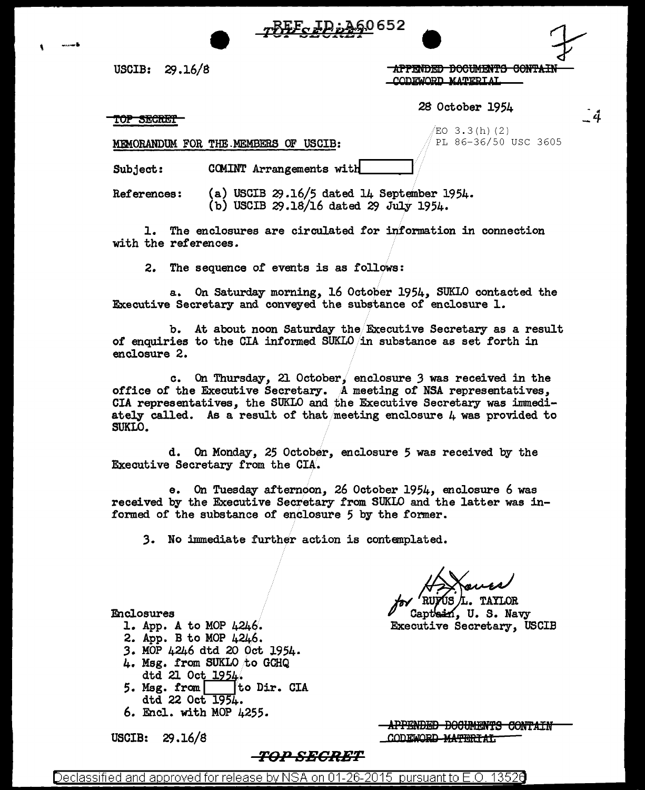

USCIB: 29.16/8

**-APPENDED DOCUMENTS CONTAIN** CODEWORD MATERIAL

28 October 1954

TOP SECRET

 $EO$  3.3(h)(2) PL 86-36/50 USC 3605 -ũ

COMINT Arrangements with Subject:

MEMORANDUM FOR THE MEMBERS OF USCIB:

(a) USCIB  $29.16/5$  dated 14 September 1954. References: (b) USCIB 29.18/16 dated 29 July 1954.

1. The enclosures are circulated for information in connection with the references.

2. The sequence of events is as follows:

a. On Saturday morning, 16 October 1954, SUKLO contacted the Executive Secretary and conveyed the substance of enclosure 1.

b. At about noon Saturday the Executive Secretary as a result of enquiries to the CIA informed SUKLO in substance as set forth in enclosure 2.

c. On Thursday, 21 October, enclosure 3 was received in the office of the Executive Secretary. A meeting of NSA representatives, CIA representatives, the SUKLO and the Executive Secretary was immediately called. As a result of that meeting enclosure  $\mu$  was provided to SUKLO.

d. On Monday, 25 October, enclosure 5 was received by the Executive Secretary from the CIA.

On Tuesday afternoon, 26 October 1954, enclosure 6 was  $e_{\bullet}$ received by the Executive Secretary from SUKLO and the latter was informed of the substance of enclosure 5 by the former.

3. No immediate further action is contemplated.

IS /L. TAYLOR

Captein, U.S. Navy Executive Secretary, USCIB

### Enclosures

- 1. App. A to MOP 4246.
- 2. App. B to MOP 4246.
- 3. MOP 4246 dtd 20 Oct 1954.
- 4. Msg. from SUKLO to GCHQ dtd 21 Oct 1954.
- 5. Msg. from to Dir. CIA dtd 22 Oct 1954.
- 6. Encl. with MOP 4255.

USCIB:  $29.16/8$ 

APPENDED DOCUMENTS CONTAIN CODEWORD MATERIAL

# *-TOP SECRET*

Declassified and approved for release by NSA on 01-26-2015  $\,$  pursuant to E.O. 1352 $0$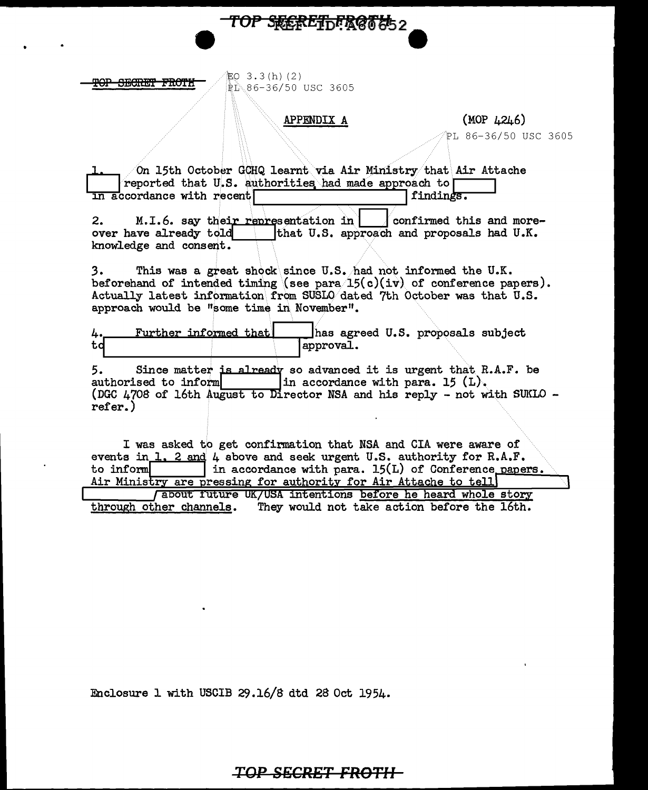

 $$.3(h)(2)$ PL 86-36/50 USC 3605

### $APPENDIX A$  (MOP  $\mu$ 2 $\mu$ 6)

TOP SREREThER@This2

PL 86-36/50 USC 3605

% On 15th October GCHQ learnt via Air Ministry that Air Attache<br>
reported that U.S. authorities had made approach to **function**<br> **findings.**  $\overline{\text{in}}$  accordance with recent

2. M. I.6. say their representation in  $\Box$  confirmed this and more-<br>over have already told that U.S. approach and proposals had U.K. that U.S. approach and proposals had U.K. knowledge and  $constant$ .

3. This was a great shock\.since U.S./had not informed the U.K. beforehand of intended timing (see para  $15(c)(iv)$  of conference papers). Actually latest information\ from SUSLQ/dated 7th October was that U.S. approach would be "some time in. November".

 $4.$  Further informed that  $\vert$  has agreed U.S. proposals subject 4. Further informed that | has agreed heat | has agreed to respond to the lapproval.

5. Since matter is already so advanced it is urgent that R authorised to inform  $\begin{vmatrix} \n\text{in accordance with para. } 15 \n\end{vmatrix}$ . Since matter is already so advanced it is urgent that  $R.A.F.$  be (DGC  $4708$  of 16th August to Director NSA and his reply - not with SUKLO refer.)

I was asked to get confirmation that NSA and CIA were aware of events in 1. 2 and  $4$  above and seek urgent U.S. authority for R.A.F. in accordance with para. 15(L) of Conference papers. to inform Air Ministry are pressing for authority for Air Attache to tell

*(about future UK/USA intentions before he heard whole story* through other channels. They would not take action before the 16th.

Enclosure 1 with USCIB 29.16/8 dtd 28 Oct 1954.

**TOP SECRET FROTII**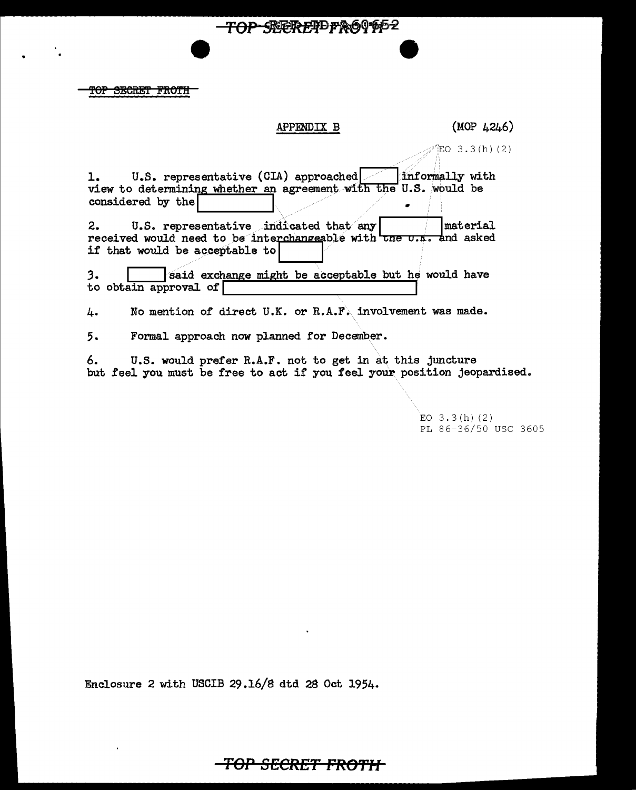<del>FOP SECRET FROTH</del>

### APPENDIX B  $(MOP 4246)$

<del>TOP SEERETDFRO</del>OPP2

 $EO$  3.3(h)(2)

1. U.S. representative (CIA) approached informally with view to determining whether an agreement with the U.S. would be view to determining whether an agreement with the  $\overline{u}$ .

2. U.S. representative indicated that any |  $\blacksquare$  | material received would need to be interchangeable with  $\frac{1}{\sqrt{2\pi}}$  and asked if that would be acceptable to

3. **I** Said exchange might be acceptable but he would have to obtain approval of

4. No mention of direct U.K. or R.A.F. involvement was made.

5. Formal approach now planned for December.

6. U.S. would prefer R.A.F. not to get in at this juncture but feel you must be free to act if you feel your position jeopardised.

> $EO$  3.3(h)(2) PL 86-36/50 USC 3605

Enclosure 2 with USCIB 29.16/S dtd 2S Oct 1954.

**TOP SECRET FRO'f'H**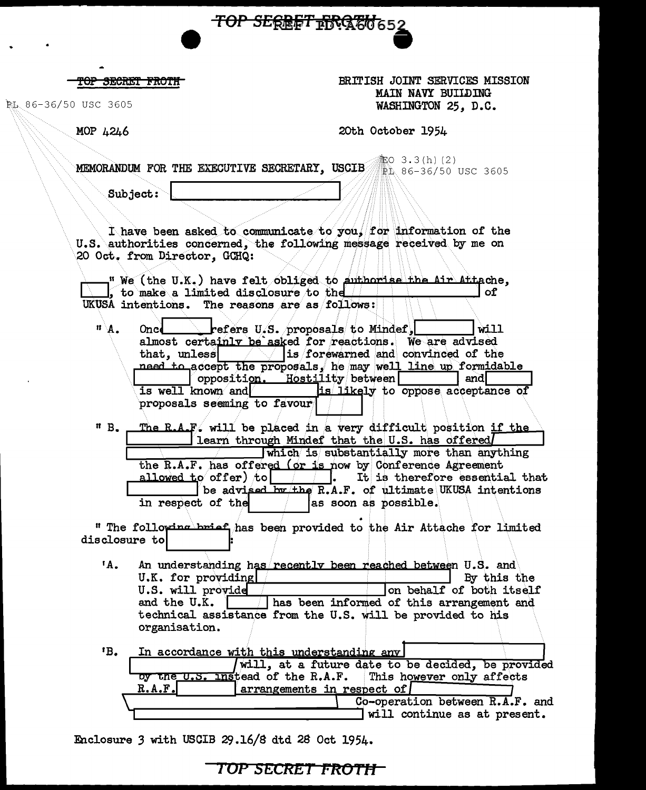TOP SEREET FRATO 652

<del>TOP SECRET FROTH</del>

PL 86-36/50 USC 3605

BRITISH JOINT SERVICES MISSION MAIN NAVY BUILDING WASHINGTON 25. D.C.

MOP 4246

20th October 1954

**竃O 3.3(h) (2)** MEMORANDUM FOR THE EXECUTIVE SECRETARY. USCIB DL 86-36/50 USC 3605

Subject:

I have been asked to communicate to you. for information of the U.S. authorities concerned, the following message received by me on 20 Oct. from Director, GCHQ:

" We (the U.K.) have felt obliged to euthorise the Air Attache, , to make a limited disclosure to the  $\Box$ of UKUSA intentions. The reasons are as follows:

 $\mathbf{n} \setminus \mathbf{A}$ . Oned refers U.S. proposals to Mindef.  $\dot{w}$ . almost certainly be asked for reactions. We are advised is forewarned and convinced of the that, unless need to accept the proposals, he may well line up formidable opposition. Hostility between andl is well known and is likely to oppose acceptance of proposals seeming to favour

 $n B<sub>o</sub>$ The R.A.F. will be placed in a very difficult position if the learn through Mindef that the U.S. has offered which is substantially more than anything the R.A.F. has offered (or is now by Conference Agreement allowed to offer) to  $\vert$   $\vert$   $\vert$ . It is therefore essential that be advised by the R.A.F. of ultimate UKUSA intentions in respect of the as soon as possible.

" The following brief has been provided to the Air Attache for limited disclosure to

 $^{\dagger}$ A. An understanding has recently been reached between U.S. and U.K. for providing By this the U.S. will provide on behalf of both itself and the U.K. has been informed of this arrangement and technical assistance from the U.S. will be provided to his organisation.

| 1В. |        | In accordance with this understanding any                   |  |
|-----|--------|-------------------------------------------------------------|--|
|     |        | will, at a future date to be decided, be provided           |  |
|     |        | by the U.S. Instead of the R.A.F. This however only affects |  |
|     | R.A.F. | $ $ arrangements in respect of $ $                          |  |
|     |        | Co-operation between R.A.F. and                             |  |
|     |        | will continue as at present.                                |  |

Enclosure 3 with USCIB 29.16/8 dtd 28 Oct 1954.

TOP SECRET FROTH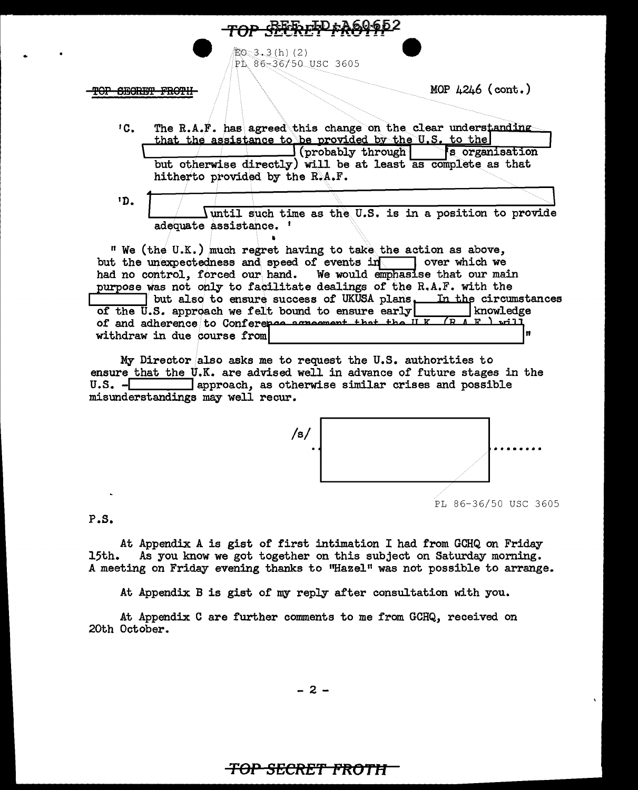$E_0$  3.3(h)(2) PL 86-36/50 USC 3605

# **OP SEGRET FROTH**

MOP  $4246$  (cont.)

- $^1C$ . The R.A.F. has agreed this change on the clear understanding that the assistance to be provided by the U.S. to the  $\Box$  (probably through) 's organisation but otherwise directly) will be at least as complete as that hitherto provided by the R.A.F.
- $1D<sub>1</sub>$ Iuntil such time as the U.S. is in a position to provide adequate assistance. '

" We (the U.K.) much regret having to take the action as above, but the unexpectedness and speed of events in over which we had no control, forced our hand. We would emphasise that our main purpose was not only to facilitate dealings of the R.A.F. with the but also to ensure success of UKUSA plans. In the circumstances of the U.S. approach we felt bound to ensure early knowledge of and adherence to Conference acrossment that the ILK (RAR) will n withdraw in due course from

My Director also asks me to request the U.S. authorities to ensure that the U.K. are advised well in advance of future stages in the U.S. - approach, as otherwise similar crises and possible misunderstandings may well recur.



PL 86-36/50 USC 3605

 $P.S.$ 

At Appendix A is gist of first intimation I had from GCHQ on Friday As you know we got together on this subject on Saturday morning. 15th. A meeting on Friday evening thanks to "Hazel" was not possible to arrange.

At Appendix B is gist of my reply after consultation with you.

At Appendix C are further comments to me from GCHQ, received on 20th October.

 $-2-$ 

# <del>TOP SECRET FROTH</del>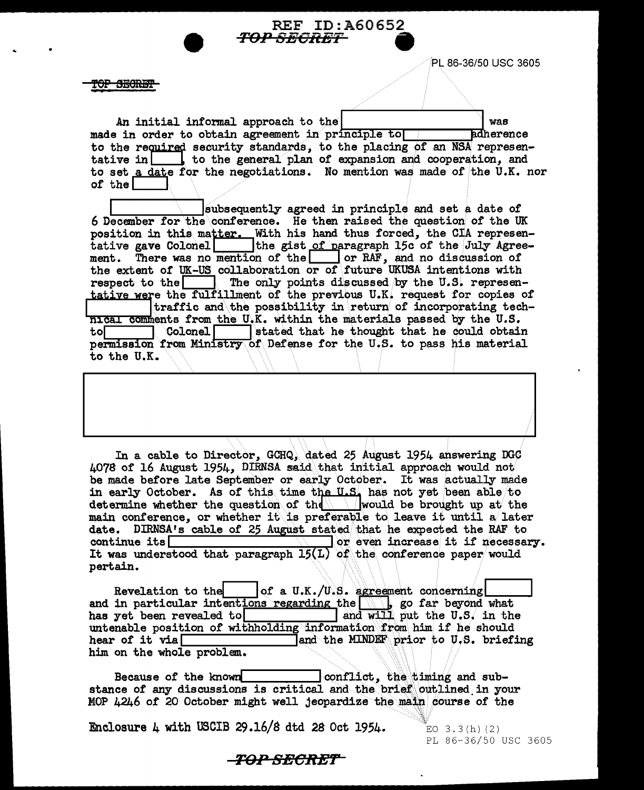

PL 86-36/50 USC 3605

<del>IOP SECRET</del>

An initial informal approach to the was made in order to obtain agreement in principle to **Edherence** to the required security standards, to the placing of an NSA representative in  $\Box$  to the general plan of expansion and cooperation, and to set a date for the negotiations. No mention was made of the U.K. nor of the  $\lceil$ 

subsequently agreed in principle and set a date of 6 December for the conference. He then raised the question of the UK position in this matter. With his hand thus forced, the CIA representative gave Colonel the gist of paragraph 15c of the July Agree-There was no mention of the or RAF, and no discussion of ment. the extent of UK-US collaboration or of future UKUSA intentions with respect to the The only points discussed by the U.S. representative were the fulfillment of the previous U.K. request for copies of traffic and the possibility in return of incorporating technical comments from the U.K. within the materials passed by the U.S.  $\overline{\phantom{a}}$  Colonel  $\overline{\phantom{a}}$ stated that he thought that he could obtain tol⊤ permission from Ministry of Defense for the U.S. to pass his material to the U.K.

In a cable to Director, GCHQ, dated 25 August 1954 answering DGC 4078 of 16 August 1954, DIRNSA said that initial approach would not be made before late September or early October. It was actually made in early October. As of this time the U.S. has not yet been able to determine whether the question of the  $\parallel$  would be brought up at the main conference, or whether it is preferable to leave it until a later date. DIRNSA's cable of 25 August stated that he expected the RAF to  $\sqrt{ }$  or even increase it if necessary. continue its It was understood that paragraph  $15(L)$  of the conference paper would pertain.

of a U.K./U.S. agreement concerning Revelation to the and in particular intentions regarding the  $\|\cdot\|_p$  go far beyond what and will put the U.S. in the has yet been revealed to untenable position of withholding information from him if he should hear of it via $\Box$ and the MINDEF prior to U.S. briefing him on the whole problem.

conflict, the timing and sub-Because of the known stance of any discussions is critical and the brief outlined in your MOP 4246 of 20 October might well jeopardize the main course of the

Enclosure 4 with USCIB 29.16/8 dtd 28 Oct 1954.

EO  $3.3(h)$  (2) PL 86-36/50 USC 3605

# -TOP SECRET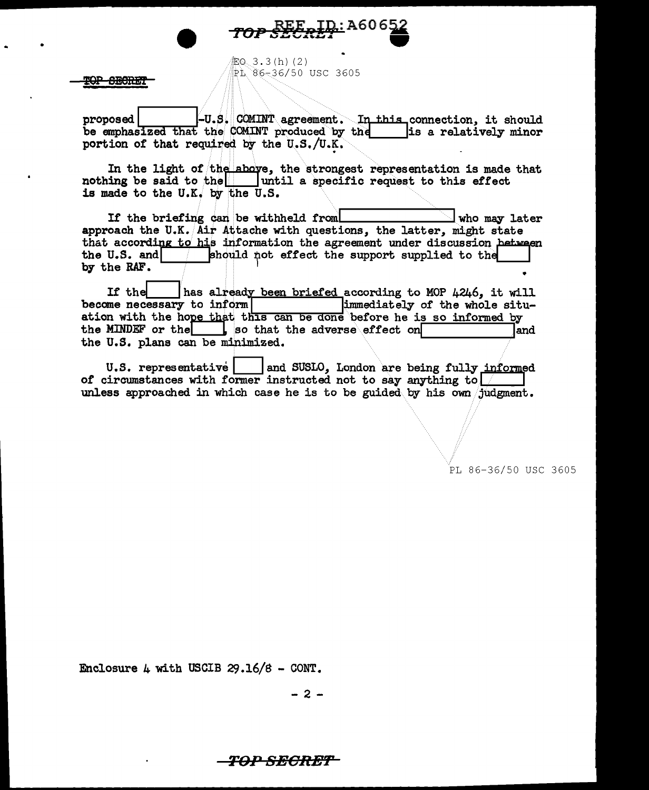$$6, 3.3(h) (2)$ ~h~6~36/50 USC 3605

<del>-8ECRE.</del>

proposed | | |-U.S. COMINT agreement. In this connection, it should be emphasized that the COMINT produced by the  $\vert$ is a relatively minor portion of that required by the  $U.S./U.K.$ 

<u>[D.:</u>A606

In the light of the above, the strongest representation is made that nothing be said to the  $\vert$  until a specific request to this effect is made to the U.K. by the U.S.

If the briefing can be withheld from  $\Box$  who may later approach the U.K. Air Attache with questions, the latter, might state that according to his information the agreement under discussion hetween<br>the U.S. and  $\left| \right|$  should not effect the support supplied to the should not effect the support supplied to the by the RAF.

If the free has already been briefed according to MOP 4246, it will<br>become necessary to inform immediately of the whole situation with the hope that this can be done before he is so informed by the MINDEF or the  $\begin{bmatrix} 1 & 1 \\ 0 & 0 \end{bmatrix}$  so that the adverse effect on the U.S. plans can be minimized.

U.S. representative | and SUSLO, London are being fully informed of circumstances with former instructed not to say anything to  $\frac{1}{2}$ unless approached in which case he is to be guided. by his own /judgment.

PL 86-36/50 USC 3605

Enclosure  $4$  with USCIB 29.16/8 - CONT.

- 2 -

**T9P SBGR:Ef'**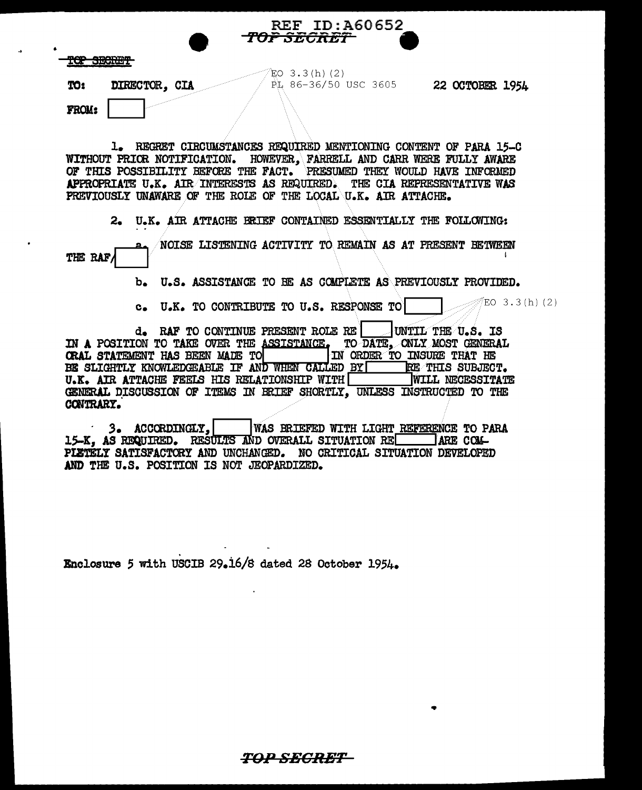|              | RLE ID:AOVOJZ<br>TO <del>P SECRET</del>               |                 |  |  |
|--------------|-------------------------------------------------------|-----------------|--|--|
|              | ________<br><b>DEVILLET</b>                           |                 |  |  |
| TO:          | LO 3.3(h)(2)<br>PL 86-36/50 USC 3605<br>DIRECTOR, CIA | 22 OCTOBER 1954 |  |  |
| <b>FROM:</b> |                                                       |                 |  |  |

 $REF$  ID:A60652

1. REGRET CIRCUMSTANCES REQUIRED MENTIONING CONTENT OF PARA 15-C WITHOUT PRICR NOTIFICATION. HOWEVER, FARRELL AND CARR WERE FULLY AWARE OF THIS POSSIBILITY BEFORE THE FACT. PRESUMED THEY WOULD HAVE INFORMED APPROPRIATE U.K. AIR INTERESTS AS REQUIRED. THE CIA REPRESENTATIVE WAS PREVIOUSLY UNAWARE OF THE ROLE OF THE LOCAL U.K. AIR ATTACHE.

2. U.K. AIR ATTACHE BRIEF CONTAINED ESSENTIALLY THE FOLLOWING:

THE RAF/ NOISE LISTENING ACTIVITY TO REMAIN AS AT PRESENT BETWEEN

b. U.S. ASSISTANCE TO BE AS CCMPLETE AS\.PREVIOUSLY PROVIDED.

c. U.K. TO CONTRIBUTE TO U.S. RESPONSE TO  $\sqrt{E^{\text{CO}^3.3(h)(2)}}$ 

d. RAF TO CONTINUE PRESENT ROLE RE UNITL THE U.S. IS IN A POSITION TO TAKE OVER THE ASSISTANCE. TO DATE, ONLY MOST GENERAL CRAL STATEMENT HAS BEEN MADE TO \_\_\_\_ IN ORDER TO INSURE THAT HE BE SLIGHTLY KNOWLEDGEABLE IF AND WHEN CALLED BY FREE THIS SUBJECT.<br>U.K. AIR ATTACHE FEELS HIS RELATIONSHIP WITH WILL NECESSITATE U.K. AIR ATTACHE FEELS HIS RELATIONSHIP WITH GENERAL DISCUSSION OF ITEMS IN BRIEF SHORTLY, UNLESS INSTRUCTED TO THE CONTRARY.

· *3.* ACCCEDINGLY,llWAs BRIEFED WITH LIGHT REFERENCE TO PARA 15-K, AS REQUIRED. RESULTS AND OVERALL SITUATION REFTER LARE COM-PLETELY SATISFACTORY AND UNCHANGED. NO CRITICAL SITUATION DEVELOPED AND THE U.S. POSITION IS NOT JEOPARDIZED.

Enclosure 5 with USCIB 29.16/8 dated 28 October 1954.

TOP SECRET-

•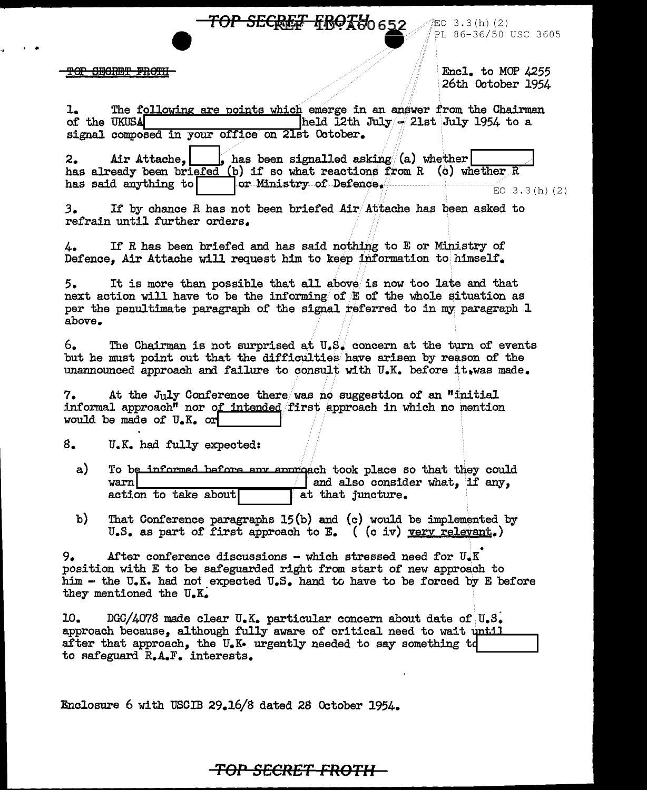**TOP SECRET FROKU<sub>0 652</sub>** 

#### <del>TOP SECRET FROTH</del>

. ..

 $EO$  3.3(h)(2) PL 86-36/50 USC 3605

Encl. to MOP 4255 26th October 1954

1. The following are points which emerge in an answer from the Chairman of the UKUSA  $h$ eld 12th July - 21st July 1954 to a held  $\tilde{L}$ 2th July  $-$  21st July 1954 to a signal composed in your office on 21st October.

2. Air Attache,  $\int$  has been signalled asking (a) whether has already been briefed (b) if so what reactions from R (c) whether R has said anything to  $\boxed{\qquad}$  or Ministry of Defence.  $3(h)$  (2)

*3.* I! by chance R has not been briefed Air/Attache has been asked to refrain until further orders.

4. If R has been briefed and has said nothing to E or Ministry of Defence, Air Attache will request him to keep information to himself.

5. It is more than possible that all above/is now too late and that next action will have to be the informing of  $E$  of the whole situation as per the penultimate paragraph of the signal referred to in my paragraph 1 above.

6. The Chairman is not surprised at  $U_s$ , concern at the turn of events but he must point out that the difficulties have arisen by reason of the unannounced approach and failure to consult with U.K. before it, was made.

 $7.$  At the July Conference there/was no suggestion of an "initial" informal approach<sup>"</sup> nor of intended first approach in which no mention would be made of  $U_{\bullet}K_{\bullet}$  or

s. U.K. had fully expected:

- a) To be informed before any approach took place so that they could warn and also consider what, if any, at that juncture.  $\arctan$  to take about
- b) That Conference paragraphs 15(b) and (c) would be implemented by U.S. as part of first approach to E. ( (c iv) yery relevant.)

 $9.4$  After conference discussions - which stressed need for  $U_sK$ position with E to be safeguarded right from start of' new approach to him - the U.K. had not expected  $U_sS_s$  hand to have to be forced by E before they mentioned the  $U_aK_a$ 

10. DGC/4078 made clear  $U_{\bullet}K_{\bullet}$  particular concern about date of  $U_{\bullet}S_{\bullet}$ approach because, although fully aware of critical need to wait until after that approach, the U.K• urgently needed to say something td to safeguard  $R_{\bullet}A_{\bullet}F_{\bullet}$  interests.

Enclosure 6 with USOIB 29.16/8 dated 28 October 1954.

# *TOP* **SECRET FROTII**